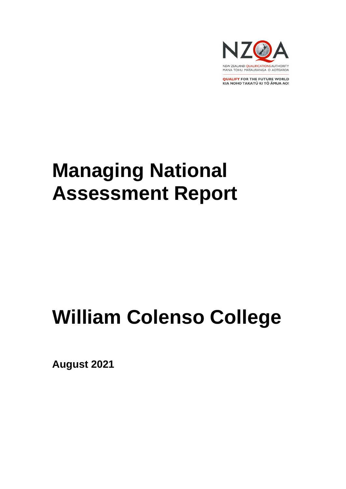

**QUALIFY FOR THE FUTURE WORLD** KIA NOHO TAKATŪ KI TŌ ĀMUA AO!

# **Managing National Assessment Report**

# **William Colenso College**

**August 2021**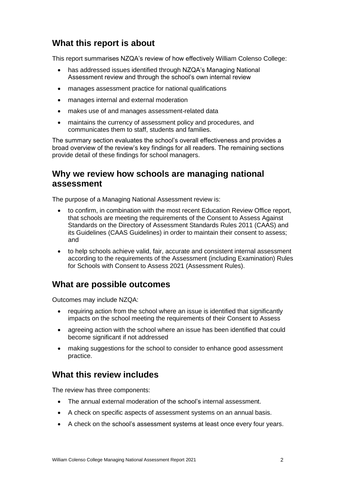## **What this report is about**

This report summarises NZQA's review of how effectively William Colenso College:

- has addressed issues identified through NZQA's Managing National Assessment review and through the school's own internal review
- manages assessment practice for national qualifications
- manages internal and external moderation
- makes use of and manages assessment-related data
- maintains the currency of assessment policy and procedures, and communicates them to staff, students and families.

The summary section evaluates the school's overall effectiveness and provides a broad overview of the review's key findings for all readers. The remaining sections provide detail of these findings for school managers.

## **Why we review how schools are managing national assessment**

The purpose of a Managing National Assessment review is:

- to confirm, in combination with the most recent Education Review Office report, that schools are meeting the requirements of the Consent to Assess Against Standards on the Directory of Assessment Standards Rules 2011 (CAAS) and its Guidelines (CAAS Guidelines) in order to maintain their consent to assess; and
- to help schools achieve valid, fair, accurate and consistent internal assessment according to the requirements of the Assessment (including Examination) Rules for Schools with Consent to Assess 2021 (Assessment Rules).

### **What are possible outcomes**

Outcomes may include NZQA:

- requiring action from the school where an issue is identified that significantly impacts on the school meeting the requirements of their Consent to Assess
- agreeing action with the school where an issue has been identified that could become significant if not addressed
- making suggestions for the school to consider to enhance good assessment practice.

## **What this review includes**

The review has three components:

- The annual external moderation of the school's internal assessment.
- A check on specific aspects of assessment systems on an annual basis.
- A check on the school's assessment systems at least once every four years.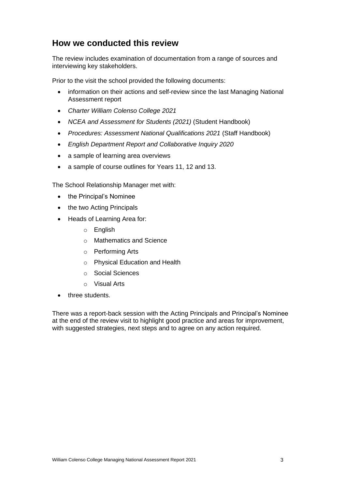## **How we conducted this review**

The review includes examination of documentation from a range of sources and interviewing key stakeholders.

Prior to the visit the school provided the following documents:

- information on their actions and self-review since the last Managing National Assessment report
- *Charter William Colenso College 2021*
- *NCEA and Assessment for Students (2021)* (Student Handbook)
- *Procedures: Assessment National Qualifications 2021* (Staff Handbook)
- *English Department Report and Collaborative Inquiry 2020*
- a sample of learning area overviews
- a sample of course outlines for Years 11, 12 and 13.

The School Relationship Manager met with:

- the Principal's Nominee
- the two Acting Principals
- Heads of Learning Area for:
	- o English
	- o Mathematics and Science
	- o Performing Arts
	- o Physical Education and Health
	- o Social Sciences
	- o Visual Arts
- three students.

There was a report-back session with the Acting Principals and Principal's Nominee at the end of the review visit to highlight good practice and areas for improvement, with suggested strategies, next steps and to agree on any action required.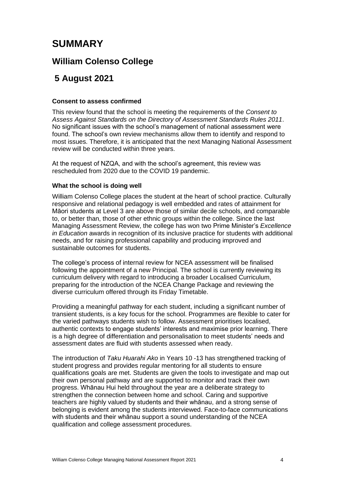## **SUMMARY**

## **William Colenso College**

## **5 August 2021**

#### **Consent to assess confirmed**

This review found that the school is meeting the requirements of the *Consent to Assess Against Standards on the Directory of Assessment Standards Rules 2011*. No significant issues with the school's management of national assessment were found. The school's own review mechanisms allow them to identify and respond to most issues. Therefore, it is anticipated that the next Managing National Assessment review will be conducted within three years.

At the request of NZQA, and with the school's agreement, this review was rescheduled from 2020 due to the COVID 19 pandemic.

#### **What the school is doing well**

William Colenso College places the student at the heart of school practice. Culturally responsive and relational pedagogy is well embedded and rates of attainment for Māori students at Level 3 are above those of similar decile schools, and comparable to, or better than, those of other ethnic groups within the college. Since the last Managing Assessment Review, the college has won two Prime Minister's *Excellence in Education* awards in recognition of its inclusive practice for students with additional needs, and for raising professional capability and producing improved and sustainable outcomes for students.

The college's process of internal review for NCEA assessment will be finalised following the appointment of a new Principal. The school is currently reviewing its curriculum delivery with regard to introducing a broader Localised Curriculum, preparing for the introduction of the NCEA Change Package and reviewing the diverse curriculum offered through its Friday Timetable.

Providing a meaningful pathway for each student, including a significant number of transient students, is a key focus for the school. Programmes are flexible to cater for the varied pathways students wish to follow. Assessment prioritises localised, authentic contexts to engage students' interests and maximise prior learning. There is a high degree of differentiation and personalisation to meet students' needs and assessment dates are fluid with students assessed when ready.

The introduction of *Taku Huarahi Ako* in Years 10 -13 has strengthened tracking of student progress and provides regular mentoring for all students to ensure qualifications goals are met. Students are given the tools to investigate and map out their own personal pathway and are supported to monitor and track their own progress. Whānau Hui held throughout the year are a deliberate strategy to strengthen the connection between home and school. Caring and supportive teachers are highly valued by students and their whānau, and a strong sense of belonging is evident among the students interviewed. Face-to-face communications with students and their whānau support a sound understanding of the NCEA qualification and college assessment procedures.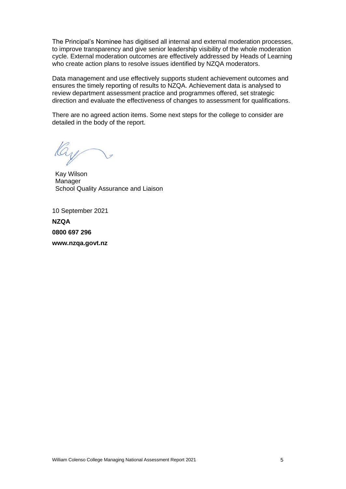The Principal's Nominee has digitised all internal and external moderation processes, to improve transparency and give senior leadership visibility of the whole moderation cycle. External moderation outcomes are effectively addressed by Heads of Learning who create action plans to resolve issues identified by NZQA moderators.

Data management and use effectively supports student achievement outcomes and ensures the timely reporting of results to NZQA. Achievement data is analysed to review department assessment practice and programmes offered, set strategic direction and evaluate the effectiveness of changes to assessment for qualifications.

There are no agreed action items. Some next steps for the college to consider are detailed in the body of the report.

Kay Wilson **Manager** School Quality Assurance and Liaison

10 September 2021

**NZQA 0800 697 296 www.nzqa.govt.nz**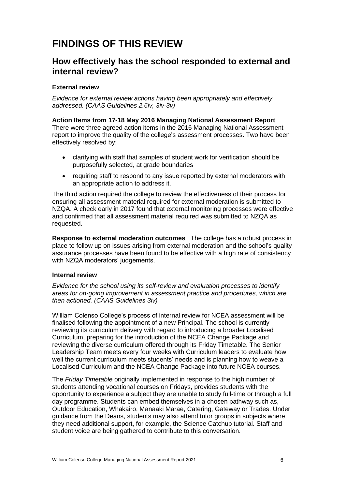## **FINDINGS OF THIS REVIEW**

## **How effectively has the school responded to external and internal review?**

#### **External review**

*Evidence for external review actions having been appropriately and effectively addressed. (CAAS Guidelines 2.6iv, 3iv-3v)*

**Action Items from 17-18 May 2016 Managing National Assessment Report**  There were three agreed action items in the 2016 Managing National Assessment report to improve the quality of the college's assessment processes. Two have been effectively resolved by:

- clarifying with staff that samples of student work for verification should be purposefully selected, at grade boundaries
- requiring staff to respond to any issue reported by external moderators with an appropriate action to address it.

The third action required the college to review the effectiveness of their process for ensuring all assessment material required for external moderation is submitted to NZQA. A check early in 2017 found that external monitoring processes were effective and confirmed that all assessment material required was submitted to NZQA as requested.

**Response to external moderation outcomes** The college has a robust process in place to follow up on issues arising from external moderation and the school's quality assurance processes have been found to be effective with a high rate of consistency with NZQA moderators' judgements.

#### **Internal review**

*Evidence for the school using its self-review and evaluation processes to identify areas for on-going improvement in assessment practice and procedures, which are then actioned. (CAAS Guidelines 3iv)*

William Colenso College's process of internal review for NCEA assessment will be finalised following the appointment of a new Principal. The school is currently reviewing its curriculum delivery with regard to introducing a broader Localised Curriculum, preparing for the introduction of the NCEA Change Package and reviewing the diverse curriculum offered through its Friday Timetable. The Senior Leadership Team meets every four weeks with Curriculum leaders to evaluate how well the current curriculum meets students' needs and is planning how to weave a Localised Curriculum and the NCEA Change Package into future NCEA courses.

The *Friday Timetable* originally implemented in response to the high number of students attending vocational courses on Fridays, provides students with the opportunity to experience a subject they are unable to study full-time or through a full day programme. Students can embed themselves in a chosen pathway such as, Outdoor Education, Whakairo, Manaaki Marae, Catering, Gateway or Trades. Under guidance from the Deans, students may also attend tutor groups in subjects where they need additional support, for example, the Science Catchup tutorial. Staff and student voice are being gathered to contribute to this conversation.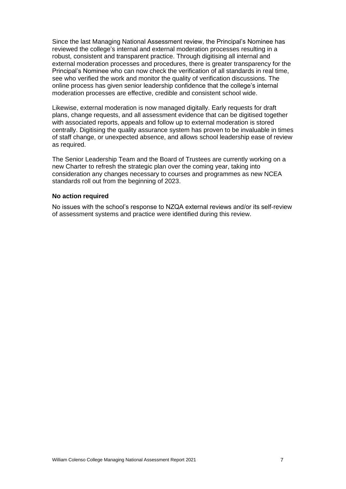Since the last Managing National Assessment review, the Principal's Nominee has reviewed the college's internal and external moderation processes resulting in a robust, consistent and transparent practice. Through digitising all internal and external moderation processes and procedures, there is greater transparency for the Principal's Nominee who can now check the verification of all standards in real time, see who verified the work and monitor the quality of verification discussions. The online process has given senior leadership confidence that the college's internal moderation processes are effective, credible and consistent school wide.

Likewise, external moderation is now managed digitally. Early requests for draft plans, change requests, and all assessment evidence that can be digitised together with associated reports, appeals and follow up to external moderation is stored centrally. Digitising the quality assurance system has proven to be invaluable in times of staff change, or unexpected absence, and allows school leadership ease of review as required.

The Senior Leadership Team and the Board of Trustees are currently working on a new Charter to refresh the strategic plan over the coming year, taking into consideration any changes necessary to courses and programmes as new NCEA standards roll out from the beginning of 2023.

#### **No action required**

No issues with the school's response to NZQA external reviews and/or its self-review of assessment systems and practice were identified during this review.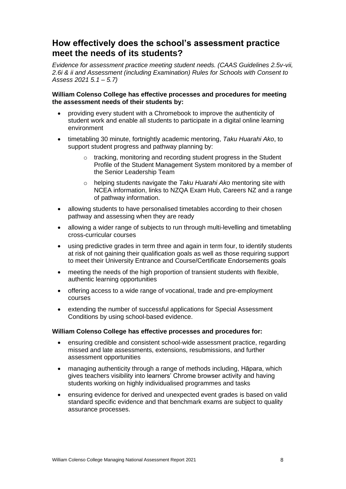## **How effectively does the school's assessment practice meet the needs of its students?**

*Evidence for assessment practice meeting student needs. (CAAS Guidelines 2.5v-vii, 2.6i & ii and Assessment (including Examination) Rules for Schools with Consent to Assess 2021 5.1 – 5.7)*

#### **William Colenso College has effective processes and procedures for meeting the assessment needs of their students by:**

- providing every student with a Chromebook to improve the authenticity of student work and enable all students to participate in a digital online learning environment
- timetabling 30 minute, fortnightly academic mentoring, *Taku Huarahi Ako*, to support student progress and pathway planning by:
	- o tracking, monitoring and recording student progress in the Student Profile of the Student Management System monitored by a member of the Senior Leadership Team
	- o helping students navigate the *Taku Huarahi Ako* mentoring site with NCEA information, links to NZQA Exam Hub, Careers NZ and a range of pathway information.
- allowing students to have personalised timetables according to their chosen pathway and assessing when they are ready
- allowing a wider range of subjects to run through multi-levelling and timetabling cross-curricular courses
- using predictive grades in term three and again in term four, to identify students at risk of not gaining their qualification goals as well as those requiring support to meet their University Entrance and Course/Certificate Endorsements goals
- meeting the needs of the high proportion of transient students with flexible, authentic learning opportunities
- offering access to a wide range of vocational, trade and pre-employment courses
- extending the number of successful applications for Special Assessment Conditions by using school-based evidence.

#### **William Colenso College has effective processes and procedures for:**

- ensuring credible and consistent school-wide assessment practice, regarding missed and late assessments, extensions, resubmissions, and further assessment opportunities
- managing authenticity through a range of methods including, Hāpara, which gives teachers visibility into learners' Chrome browser activity and having students working on highly individualised programmes and tasks
- ensuring evidence for derived and unexpected event grades is based on valid standard specific evidence and that benchmark exams are subject to quality assurance processes.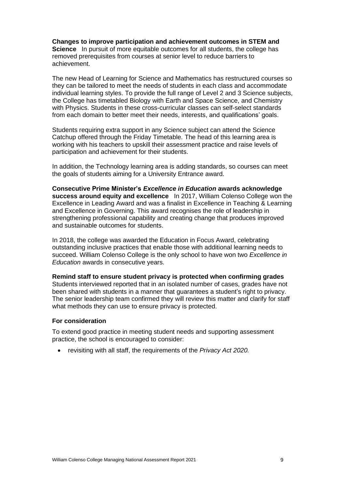**Changes to improve participation and achievement outcomes in STEM and Science** In pursuit of more equitable outcomes for all students, the college has removed prerequisites from courses at senior level to reduce barriers to achievement.

The new Head of Learning for Science and Mathematics has restructured courses so they can be tailored to meet the needs of students in each class and accommodate individual learning styles. To provide the full range of Level 2 and 3 Science subjects, the College has timetabled Biology with Earth and Space Science, and Chemistry with Physics. Students in these cross-curricular classes can self-select standards from each domain to better meet their needs, interests, and qualifications' goals.

Students requiring extra support in any Science subject can attend the Science Catchup offered through the Friday Timetable. The head of this learning area is working with his teachers to upskill their assessment practice and raise levels of participation and achievement for their students.

In addition, the Technology learning area is adding standards, so courses can meet the goals of students aiming for a University Entrance award.

**Consecutive Prime Minister's** *Excellence in Education* **awards acknowledge success around equity and excellence** In 2017, William Colenso College won the Excellence in Leading Award and was a finalist in Excellence in Teaching & Learning and Excellence in Governing. This award recognises the role of leadership in strengthening professional capability and creating change that produces improved and sustainable outcomes for students.

In 2018, the college was awarded the Education in Focus Award, celebrating outstanding inclusive practices that enable those with additional learning needs to succeed. William Colenso College is the only school to have won two *Excellence in Education* awards in consecutive years.

**Remind staff to ensure student privacy is protected when confirming grades**

Students interviewed reported that in an isolated number of cases, grades have not been shared with students in a manner that guarantees a student's right to privacy. The senior leadership team confirmed they will review this matter and clarify for staff what methods they can use to ensure privacy is protected.

#### **For consideration**

To extend good practice in meeting student needs and supporting assessment practice, the school is encouraged to consider:

• revisiting with all staff, the requirements of the *Privacy Act 2020.*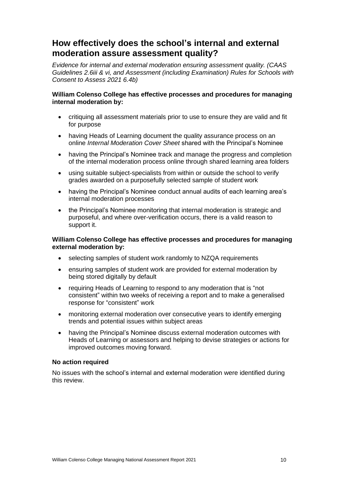## **How effectively does the school's internal and external moderation assure assessment quality?**

*Evidence for internal and external moderation ensuring assessment quality. (CAAS Guidelines 2.6iii & vi, and Assessment (including Examination) Rules for Schools with Consent to Assess 2021 6.4b)*

#### **William Colenso College has effective processes and procedures for managing internal moderation by:**

- critiquing all assessment materials prior to use to ensure they are valid and fit for purpose
- having Heads of Learning document the quality assurance process on an online *Internal Moderation Cover Sheet* shared with the Principal's Nominee
- having the Principal's Nominee track and manage the progress and completion of the internal moderation process online through shared learning area folders
- using suitable subject-specialists from within or outside the school to verify grades awarded on a purposefully selected sample of student work
- having the Principal's Nominee conduct annual audits of each learning area's internal moderation processes
- the Principal's Nominee monitoring that internal moderation is strategic and purposeful, and where over-verification occurs, there is a valid reason to support it.

#### **William Colenso College has effective processes and procedures for managing external moderation by:**

- selecting samples of student work randomly to NZQA requirements
- ensuring samples of student work are provided for external moderation by being stored digitally by default
- requiring Heads of Learning to respond to any moderation that is "not consistent" within two weeks of receiving a report and to make a generalised response for "consistent" work
- monitoring external moderation over consecutive years to identify emerging trends and potential issues within subject areas
- having the Principal's Nominee discuss external moderation outcomes with Heads of Learning or assessors and helping to devise strategies or actions for improved outcomes moving forward.

#### **No action required**

No issues with the school's internal and external moderation were identified during this review.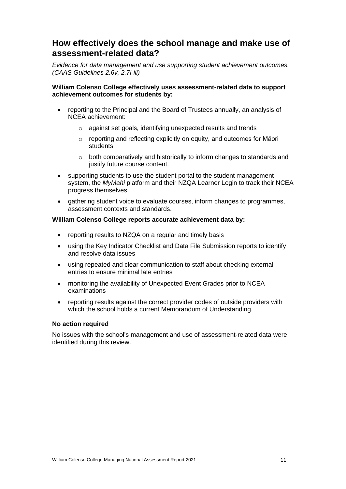## **How effectively does the school manage and make use of assessment-related data?**

*Evidence for data management and use supporting student achievement outcomes. (CAAS Guidelines 2.6v, 2.7i-iii)*

#### **William Colenso College effectively uses assessment-related data to support achievement outcomes for students by:**

- reporting to the Principal and the Board of Trustees annually, an analysis of NCEA achievement:
	- o against set goals, identifying unexpected results and trends
	- o reporting and reflecting explicitly on equity, and outcomes for Māori students
	- o both comparatively and historically to inform changes to standards and justify future course content.
- supporting students to use the student portal to the student management system, the *MyMahi* platform and their NZQA Learner Login to track their NCEA progress themselves
- gathering student voice to evaluate courses, inform changes to programmes, assessment contexts and standards.

#### **William Colenso College reports accurate achievement data by:**

- reporting results to NZQA on a regular and timely basis
- using the Key Indicator Checklist and Data File Submission reports to identify and resolve data issues
- using repeated and clear communication to staff about checking external entries to ensure minimal late entries
- monitoring the availability of Unexpected Event Grades prior to NCEA examinations
- reporting results against the correct provider codes of outside providers with which the school holds a current Memorandum of Understanding.

#### **No action required**

No issues with the school's management and use of assessment-related data were identified during this review.